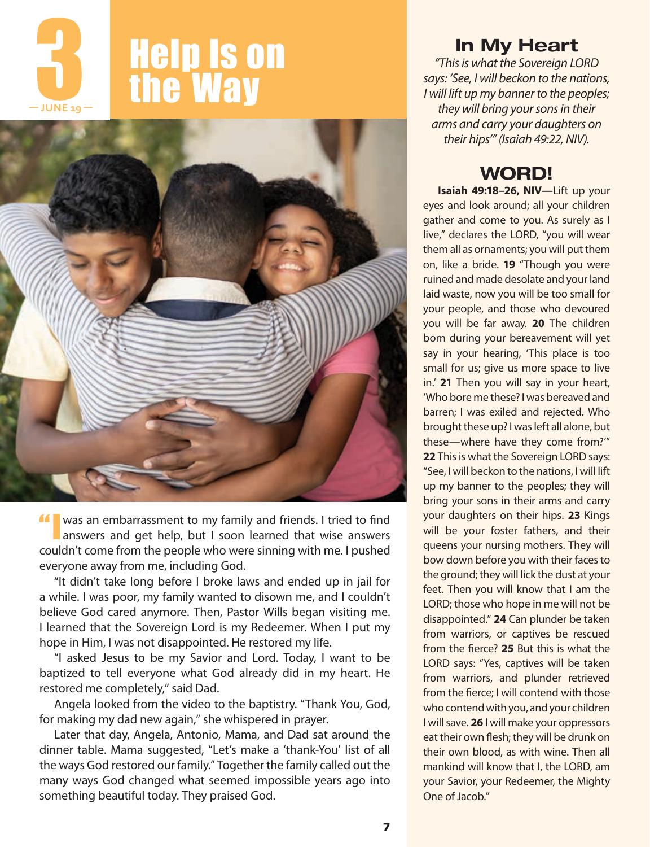

# **2 Help Is on<br>the Way** the Way



If was an embarrassment to my family and friends. I tried to find answers and get help, but I soon learned that wise answers couldn't come from the people who were sinning with me. I pushed everyone away from me, including God.

"It didn't take long before I broke laws and ended up in jail for a while. I was poor, my family wanted to disown me, and I couldn't believe God cared anymore. Then, Pastor Wills began visiting me. I learned that the Sovereign Lord is my Redeemer. When I put my hope in Him, I was not disappointed. He restored my life.

"I asked Jesus to be my Savior and Lord. Today, I want to be baptized to tell everyone what God already did in my heart. He restored me completely," said Dad.

Angela looked from the video to the baptistry. "Thank You, God, for making my dad new again," she whispered in prayer.

Later that day, Angela, Antonio, Mama, and Dad sat around the dinner table. Mama suggested, "Let's make a 'thank-You' list of all the ways God restored our family." Together the family called out the many ways God changed what seemed impossible years ago into something beautiful today. They praised God.

## In My Heart

*"This is what the Sovereign LORD says: 'See, I will beckon to the nations, I will lift up my banner to the peoples; they will bring your sons in their arms and carry your daughters on their hips'" (Isaiah 49:22, NIV).*

# WORD!

**Isaiah 49:18–26, NIV—**Lift up your eyes and look around; all your children gather and come to you. As surely as I live," declares the LORD, "you will wear them all as ornaments; you will put them on, like a bride. **19** "Though you were ruined and made desolate and your land laid waste, now you will be too small for your people, and those who devoured you will be far away. **20** The children born during your bereavement will yet say in your hearing, 'This place is too small for us; give us more space to live in.' **21** Then you will say in your heart, 'Who bore me these? I was bereaved and barren; I was exiled and rejected. Who brought these up? I was left all alone, but these—where have they come from?'" **22** This is what the Sovereign LORD says: "See, I will beckon to the nations, I will lift up my banner to the peoples; they will bring your sons in their arms and carry your daughters on their hips. **23** Kings will be your foster fathers, and their queens your nursing mothers. They will bow down before you with their faces to the ground; they will lick the dust at your feet. Then you will know that I am the LORD; those who hope in me will not be disappointed." **24** Can plunder be taken from warriors, or captives be rescued from the fierce? **25** But this is what the LORD says: "Yes, captives will be taken from warriors, and plunder retrieved from the fierce; I will contend with those who contend with you, and your children I will save. **26** I will make your oppressors eat their own flesh; they will be drunk on their own blood, as with wine. Then all mankind will know that I, the LORD, am your Savior, your Redeemer, the Mighty One of Jacob."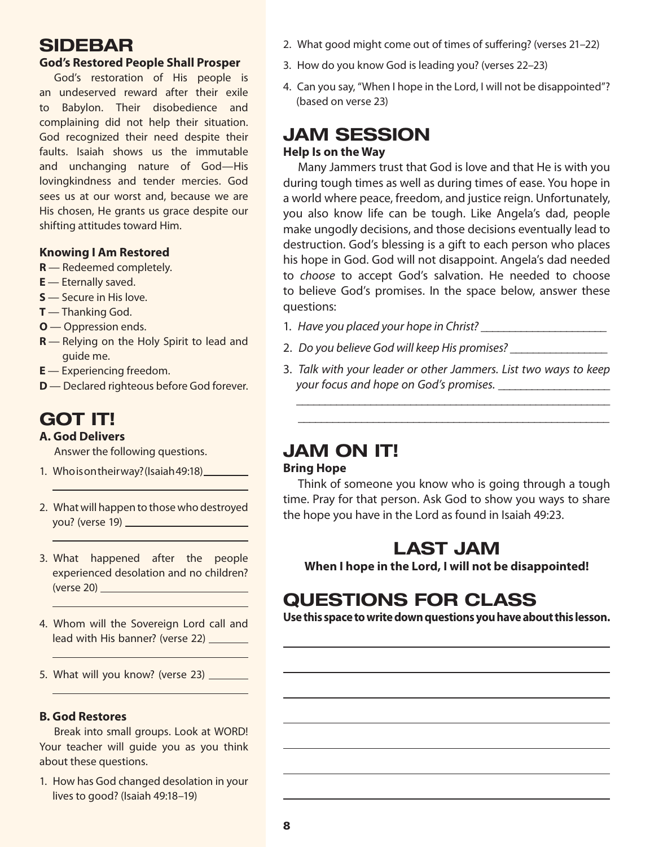## SIDEBAR

### **God's Restored People Shall Prosper**

God's restoration of His people is an undeserved reward after their exile to Babylon. Their disobedience and complaining did not help their situation. God recognized their need despite their faults. Isaiah shows us the immutable and unchanging nature of God—His lovingkindness and tender mercies. God sees us at our worst and, because we are His chosen, He grants us grace despite our shifting attitudes toward Him.

## **Knowing I Am Restored**

- **R** Redeemed completely.
- **E** Eternally saved.
- **S** Secure in His love.
- **T** Thanking God.
- **O**  Oppression ends.
- **R** Relying on the Holy Spirit to lead and guide me.
- **E** Experiencing freedom.
- **D** Declared righteous before God forever.

# GOT IT!

## **A. God Delivers**

Answer the following questions.

- 1. Who is on their way? (Isaiah 49:18)\_
- 2. What will happen to those who destroyed you? (verse 19)
- 3. What happened after the people experienced desolation and no children? (verse 20)
- 4. Whom will the Sovereign Lord call and lead with His banner? (verse 22)
- 5. What will you know? (verse 23)

## **B. God Restores**

Break into small groups. Look at WORD! Your teacher will guide you as you think about these questions.

1. How has God changed desolation in your lives to good? (Isaiah 49:18–19)

- 2. What good might come out of times of suffering? (verses 21–22)
- 3. How do you know God is leading you? (verses 22–23)
- 4. Can you say, "When I hope in the Lord, I will not be disappointed"? (based on verse 23)

## JAM SESSION **Help Is on the Way**

Many Jammers trust that God is love and that He is with you during tough times as well as during times of ease. You hope in a world where peace, freedom, and justice reign. Unfortunately, you also know life can be tough. Like Angela's dad, people make ungodly decisions, and those decisions eventually lead to destruction. God's blessing is a gift to each person who places his hope in God. God will not disappoint. Angela's dad needed to *choose* to accept God's salvation. He needed to choose to believe God's promises. In the space below, answer these questions:

- 1. *Have you placed your hope in Christ?* \_\_\_\_\_\_\_\_\_\_\_\_\_\_\_\_\_\_\_\_\_\_
- 2. *Do you believe God will keep His promises?* \_\_\_\_\_\_\_\_\_\_\_\_\_\_\_\_\_
- 3. *Talk with your leader or other Jammers. List two ways to keep your focus and hope on God's promises.* \_\_\_\_\_\_\_\_\_\_\_\_\_\_\_\_\_\_\_\_

\_\_\_\_\_\_\_\_\_\_\_\_\_\_\_\_\_\_\_\_\_\_\_\_\_\_\_\_\_\_\_\_\_\_\_\_\_\_\_\_\_\_\_\_\_\_\_\_\_\_\_\_\_\_\_ \_\_\_\_\_\_\_\_\_\_\_\_\_\_\_\_\_\_\_\_\_\_\_\_\_\_\_\_\_\_\_\_\_\_\_\_\_\_\_\_\_\_\_\_\_\_\_\_\_\_\_\_\_\_

# JAM ON IT!

#### **Bring Hope**

Think of someone you know who is going through a tough time. Pray for that person. Ask God to show you ways to share the hope you have in the Lord as found in Isaiah 49:23.

# LAST JAM

**When I hope in the Lord, I will not be disappointed!**

# QUESTIONS FOR CLASS

**Use this space to write down questions you have about this lesson.**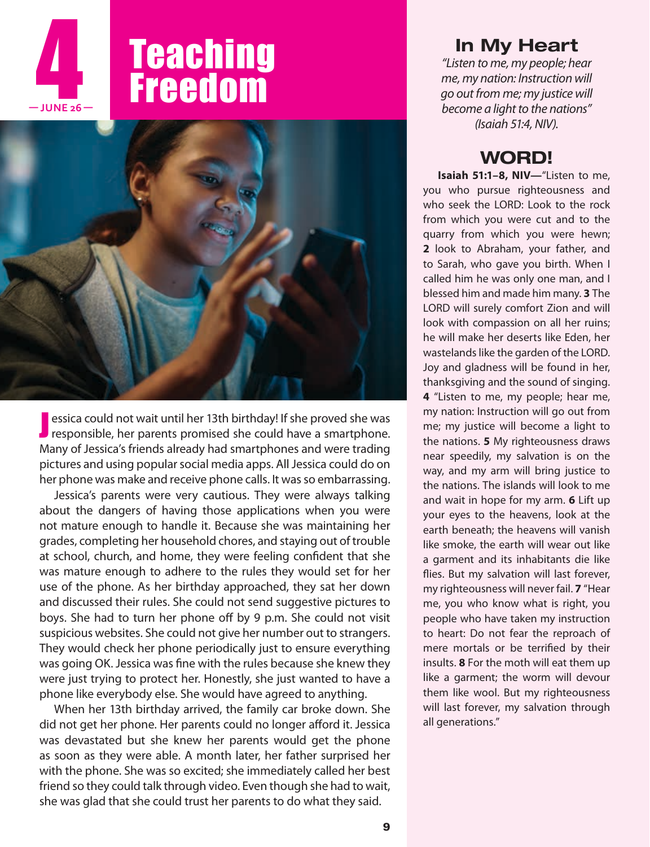

 **— JUNE 26 —**



**J** essica could not wait until her 13th birthday! If she proved she was responsible, her parents promised she could have a smartphone. essica could not wait until her 13th birthday! If she proved she was Many of Jessica's friends already had smartphones and were trading pictures and using popular social media apps. All Jessica could do on her phone was make and receive phone calls. It was so embarrassing.

Jessica's parents were very cautious. They were always talking about the dangers of having those applications when you were not mature enough to handle it. Because she was maintaining her grades, completing her household chores, and staying out of trouble at school, church, and home, they were feeling confident that she was mature enough to adhere to the rules they would set for her use of the phone. As her birthday approached, they sat her down and discussed their rules. She could not send suggestive pictures to boys. She had to turn her phone off by 9 p.m. She could not visit suspicious websites. She could not give her number out to strangers. They would check her phone periodically just to ensure everything was going OK. Jessica was fine with the rules because she knew they were just trying to protect her. Honestly, she just wanted to have a phone like everybody else. She would have agreed to anything.

When her 13th birthday arrived, the family car broke down. She did not get her phone. Her parents could no longer afford it. Jessica was devastated but she knew her parents would get the phone as soon as they were able. A month later, her father surprised her with the phone. She was so excited; she immediately called her best friend so they could talk through video. Even though she had to wait, she was glad that she could trust her parents to do what they said.

## In My Heart

*"Listen to me, my people; hear me, my nation: Instruction will go out from me; my justice will become a light to the nations" (Isaiah 51:4, NIV).*

# WORD!

**Isaiah 51:1–8, NIV—**"Listen to me, you who pursue righteousness and who seek the LORD: Look to the rock from which you were cut and to the quarry from which you were hewn; **2** look to Abraham, your father, and to Sarah, who gave you birth. When I called him he was only one man, and I blessed him and made him many. **3** The LORD will surely comfort Zion and will look with compassion on all her ruins; he will make her deserts like Eden, her wastelands like the garden of the LORD. Joy and gladness will be found in her, thanksgiving and the sound of singing. **4** "Listen to me, my people; hear me, my nation: Instruction will go out from me; my justice will become a light to the nations. **5** My righteousness draws near speedily, my salvation is on the way, and my arm will bring justice to the nations. The islands will look to me and wait in hope for my arm. **6** Lift up your eyes to the heavens, look at the earth beneath; the heavens will vanish like smoke, the earth will wear out like a garment and its inhabitants die like flies. But my salvation will last forever, my righteousness will never fail. **7** "Hear me, you who know what is right, you people who have taken my instruction to heart: Do not fear the reproach of mere mortals or be terrified by their insults. **8** For the moth will eat them up like a garment; the worm will devour them like wool. But my righteousness will last forever, my salvation through all generations."